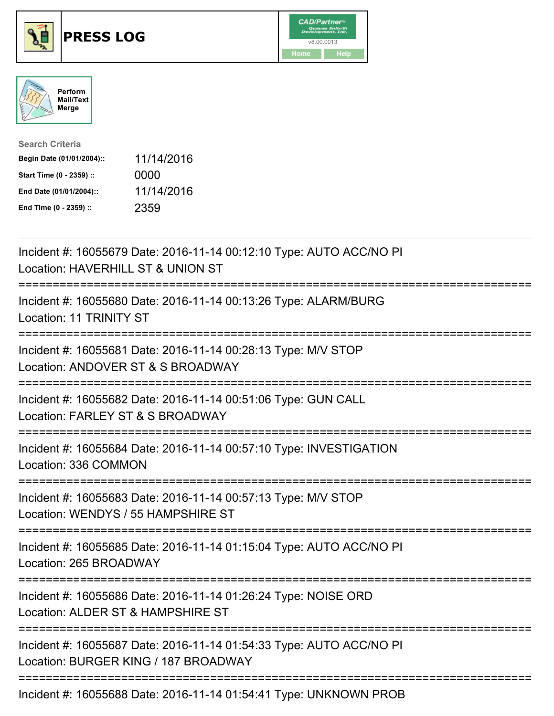





| <b>Search Criteria</b>    |            |
|---------------------------|------------|
| Begin Date (01/01/2004):: | 11/14/2016 |
| Start Time (0 - 2359) ::  | 0000       |
| End Date (01/01/2004)::   | 11/14/2016 |
| End Time (0 - 2359) ::    | 2359       |

| Incident #: 16055679 Date: 2016-11-14 00:12:10 Type: AUTO ACC/NO PI<br>Location: HAVERHILL ST & UNION ST    |
|-------------------------------------------------------------------------------------------------------------|
| Incident #: 16055680 Date: 2016-11-14 00:13:26 Type: ALARM/BURG<br>Location: 11 TRINITY ST                  |
| Incident #: 16055681 Date: 2016-11-14 00:28:13 Type: M/V STOP<br>Location: ANDOVER ST & S BROADWAY          |
| Incident #: 16055682 Date: 2016-11-14 00:51:06 Type: GUN CALL<br>Location: FARLEY ST & S BROADWAY           |
| Incident #: 16055684 Date: 2016-11-14 00:57:10 Type: INVESTIGATION<br>Location: 336 COMMON                  |
| Incident #: 16055683 Date: 2016-11-14 00:57:13 Type: M/V STOP<br>Location: WENDYS / 55 HAMPSHIRE ST         |
| Incident #: 16055685 Date: 2016-11-14 01:15:04 Type: AUTO ACC/NO PI<br>Location: 265 BROADWAY               |
| Incident #: 16055686 Date: 2016-11-14 01:26:24 Type: NOISE ORD<br>Location: ALDER ST & HAMPSHIRE ST         |
| Incident #: 16055687 Date: 2016-11-14 01:54:33 Type: AUTO ACC/NO PI<br>Location: BURGER KING / 187 BROADWAY |
| =================================<br>Incident #: 16055688 Date: 2016-11-14 01:54:41 Type: UNKNOWN PROB      |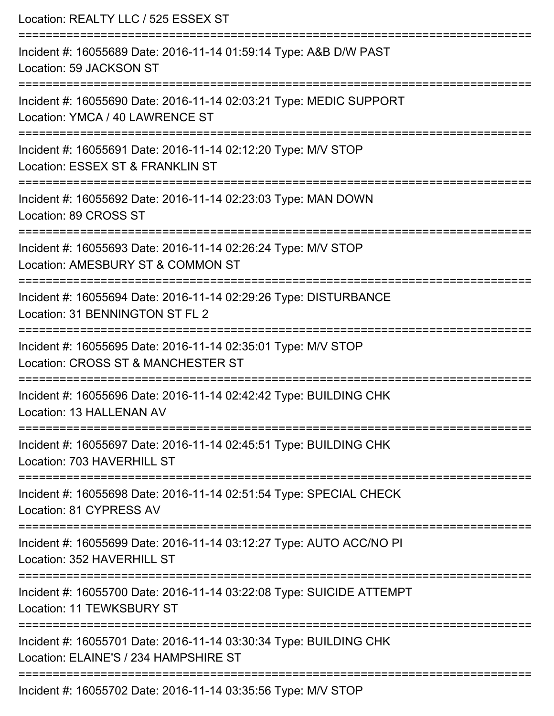| Location: REALTY LLC / 525 ESSEX ST<br>======================                                                                       |
|-------------------------------------------------------------------------------------------------------------------------------------|
| Incident #: 16055689 Date: 2016-11-14 01:59:14 Type: A&B D/W PAST<br>Location: 59 JACKSON ST<br>----------------------------------- |
| Incident #: 16055690 Date: 2016-11-14 02:03:21 Type: MEDIC SUPPORT<br>Location: YMCA / 40 LAWRENCE ST                               |
| Incident #: 16055691 Date: 2016-11-14 02:12:20 Type: M/V STOP<br>Location: ESSEX ST & FRANKLIN ST                                   |
| Incident #: 16055692 Date: 2016-11-14 02:23:03 Type: MAN DOWN<br>Location: 89 CROSS ST                                              |
| Incident #: 16055693 Date: 2016-11-14 02:26:24 Type: M/V STOP<br>Location: AMESBURY ST & COMMON ST<br>:===========================  |
| Incident #: 16055694 Date: 2016-11-14 02:29:26 Type: DISTURBANCE<br>Location: 31 BENNINGTON ST FL 2                                 |
| Incident #: 16055695 Date: 2016-11-14 02:35:01 Type: M/V STOP<br>Location: CROSS ST & MANCHESTER ST                                 |
| Incident #: 16055696 Date: 2016-11-14 02:42:42 Type: BUILDING CHK<br>Location: 13 HALLENAN AV                                       |
| Incident #: 16055697 Date: 2016-11-14 02:45:51 Type: BUILDING CHK<br>Location: 703 HAVERHILL ST                                     |
| Incident #: 16055698 Date: 2016-11-14 02:51:54 Type: SPECIAL CHECK<br>Location: 81 CYPRESS AV                                       |
| Incident #: 16055699 Date: 2016-11-14 03:12:27 Type: AUTO ACC/NO PI<br>Location: 352 HAVERHILL ST                                   |
| Incident #: 16055700 Date: 2016-11-14 03:22:08 Type: SUICIDE ATTEMPT<br>Location: 11 TEWKSBURY ST                                   |
| Incident #: 16055701 Date: 2016-11-14 03:30:34 Type: BUILDING CHK<br>Location: ELAINE'S / 234 HAMPSHIRE ST                          |
| Incident #: 16055702 Date: 2016-11-14 03:35:56 Type: M/V STOP                                                                       |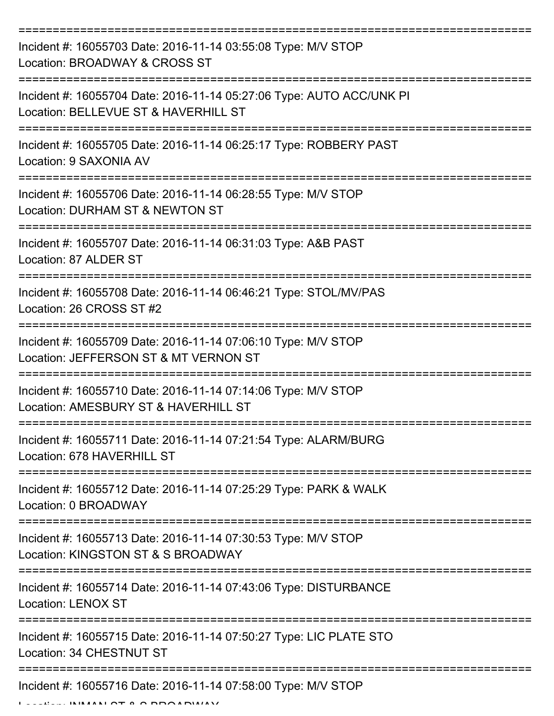| Incident #: 16055703 Date: 2016-11-14 03:55:08 Type: M/V STOP<br>Location: BROADWAY & CROSS ST                                       |
|--------------------------------------------------------------------------------------------------------------------------------------|
| Incident #: 16055704 Date: 2016-11-14 05:27:06 Type: AUTO ACC/UNK PI<br>Location: BELLEVUE ST & HAVERHILL ST                         |
| Incident #: 16055705 Date: 2016-11-14 06:25:17 Type: ROBBERY PAST<br>Location: 9 SAXONIA AV                                          |
| Incident #: 16055706 Date: 2016-11-14 06:28:55 Type: M/V STOP<br>Location: DURHAM ST & NEWTON ST                                     |
| Incident #: 16055707 Date: 2016-11-14 06:31:03 Type: A&B PAST<br>Location: 87 ALDER ST                                               |
| Incident #: 16055708 Date: 2016-11-14 06:46:21 Type: STOL/MV/PAS<br>Location: 26 CROSS ST #2                                         |
| Incident #: 16055709 Date: 2016-11-14 07:06:10 Type: M/V STOP<br>Location: JEFFERSON ST & MT VERNON ST                               |
| Incident #: 16055710 Date: 2016-11-14 07:14:06 Type: M/V STOP<br>Location: AMESBURY ST & HAVERHILL ST                                |
| Incident #: 16055711 Date: 2016-11-14 07:21:54 Type: ALARM/BURG<br>Location: 678 HAVERHILL ST                                        |
| Incident #: 16055712 Date: 2016-11-14 07:25:29 Type: PARK & WALK<br>Location: 0 BROADWAY                                             |
| =============================<br>Incident #: 16055713 Date: 2016-11-14 07:30:53 Type: M/V STOP<br>Location: KINGSTON ST & S BROADWAY |
| Incident #: 16055714 Date: 2016-11-14 07:43:06 Type: DISTURBANCE<br><b>Location: LENOX ST</b>                                        |
| Incident #: 16055715 Date: 2016-11-14 07:50:27 Type: LIC PLATE STO<br>Location: 34 CHESTNUT ST                                       |
| Incident #: 16055716 Date: 2016-11-14 07:58:00 Type: M/V STOP<br>INIMANI OT A O DOOADIMAN                                            |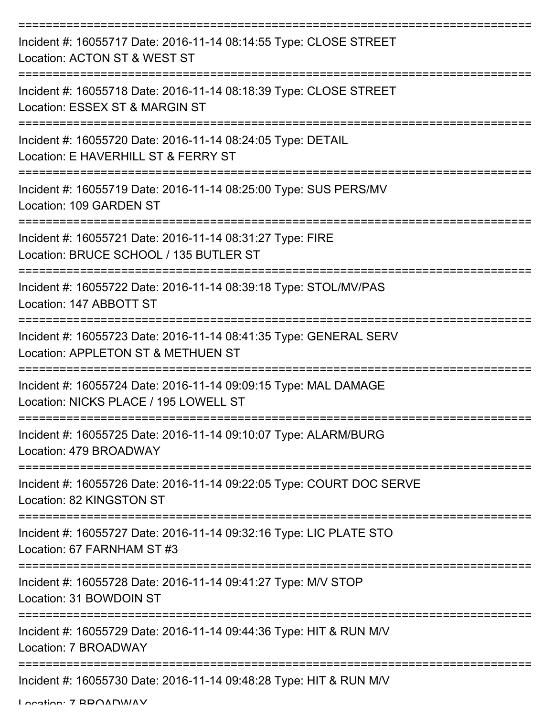| Incident #: 16055717 Date: 2016-11-14 08:14:55 Type: CLOSE STREET<br>Location: ACTON ST & WEST ST                    |
|----------------------------------------------------------------------------------------------------------------------|
| Incident #: 16055718 Date: 2016-11-14 08:18:39 Type: CLOSE STREET<br>Location: ESSEX ST & MARGIN ST                  |
| Incident #: 16055720 Date: 2016-11-14 08:24:05 Type: DETAIL<br>Location: E HAVERHILL ST & FERRY ST                   |
| Incident #: 16055719 Date: 2016-11-14 08:25:00 Type: SUS PERS/MV<br>Location: 109 GARDEN ST                          |
| Incident #: 16055721 Date: 2016-11-14 08:31:27 Type: FIRE<br>Location: BRUCE SCHOOL / 135 BUTLER ST                  |
| Incident #: 16055722 Date: 2016-11-14 08:39:18 Type: STOL/MV/PAS<br>Location: 147 ABBOTT ST<br>--------------------- |
| Incident #: 16055723 Date: 2016-11-14 08:41:35 Type: GENERAL SERV<br>Location: APPLETON ST & METHUEN ST              |
| Incident #: 16055724 Date: 2016-11-14 09:09:15 Type: MAL DAMAGE<br>Location: NICKS PLACE / 195 LOWELL ST             |
| Incident #: 16055725 Date: 2016-11-14 09:10:07 Type: ALARM/BURG<br>Location: 479 BROADWAY                            |
| Incident #: 16055726 Date: 2016-11-14 09:22:05 Type: COURT DOC SERVE<br>Location: 82 KINGSTON ST                     |
| Incident #: 16055727 Date: 2016-11-14 09:32:16 Type: LIC PLATE STO<br>Location: 67 FARNHAM ST #3                     |
| Incident #: 16055728 Date: 2016-11-14 09:41:27 Type: M/V STOP<br>Location: 31 BOWDOIN ST                             |
| Incident #: 16055729 Date: 2016-11-14 09:44:36 Type: HIT & RUN M/V<br>Location: 7 BROADWAY                           |
| Incident #: 16055730 Date: 2016-11-14 09:48:28 Type: HIT & RUN M/V                                                   |

Location: 7 BBOADWAY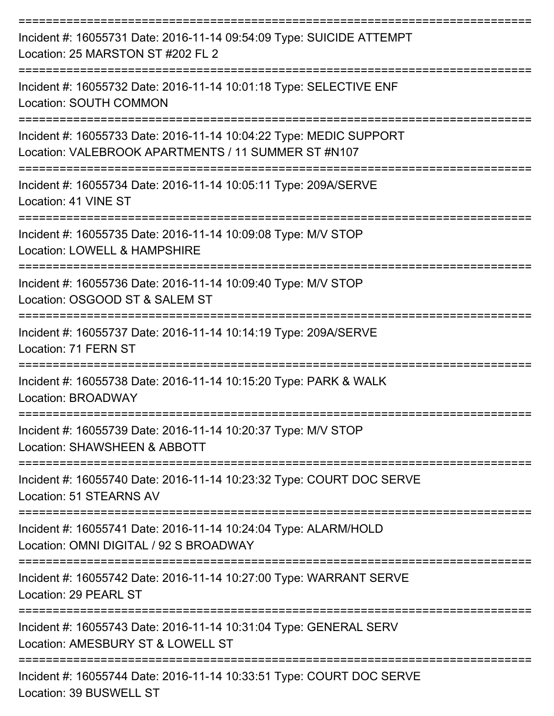| Incident #: 16055731 Date: 2016-11-14 09:54:09 Type: SUICIDE ATTEMPT<br>Location: 25 MARSTON ST #202 FL 2                        |
|----------------------------------------------------------------------------------------------------------------------------------|
| Incident #: 16055732 Date: 2016-11-14 10:01:18 Type: SELECTIVE ENF<br>Location: SOUTH COMMON                                     |
| Incident #: 16055733 Date: 2016-11-14 10:04:22 Type: MEDIC SUPPORT<br>Location: VALEBROOK APARTMENTS / 11 SUMMER ST #N107        |
| Incident #: 16055734 Date: 2016-11-14 10:05:11 Type: 209A/SERVE<br>Location: 41 VINE ST                                          |
| Incident #: 16055735 Date: 2016-11-14 10:09:08 Type: M/V STOP<br>Location: LOWELL & HAMPSHIRE                                    |
| Incident #: 16055736 Date: 2016-11-14 10:09:40 Type: M/V STOP<br>Location: OSGOOD ST & SALEM ST                                  |
| Incident #: 16055737 Date: 2016-11-14 10:14:19 Type: 209A/SERVE<br>Location: 71 FERN ST<br>:====================                 |
| Incident #: 16055738 Date: 2016-11-14 10:15:20 Type: PARK & WALK<br>Location: BROADWAY                                           |
| Incident #: 16055739 Date: 2016-11-14 10:20:37 Type: M/V STOP<br>Location: SHAWSHEEN & ABBOTT                                    |
| Incident #: 16055740 Date: 2016-11-14 10:23:32 Type: COURT DOC SERVE<br>Location: 51 STEARNS AV<br>----------------------------- |
| Incident #: 16055741 Date: 2016-11-14 10:24:04 Type: ALARM/HOLD<br>Location: OMNI DIGITAL / 92 S BROADWAY                        |
| Incident #: 16055742 Date: 2016-11-14 10:27:00 Type: WARRANT SERVE<br>Location: 29 PEARL ST                                      |
| Incident #: 16055743 Date: 2016-11-14 10:31:04 Type: GENERAL SERV<br>Location: AMESBURY ST & LOWELL ST                           |
| Incident #: 16055744 Date: 2016-11-14 10:33:51 Type: COURT DOC SERVE<br>Location: 39 BUSWELL ST                                  |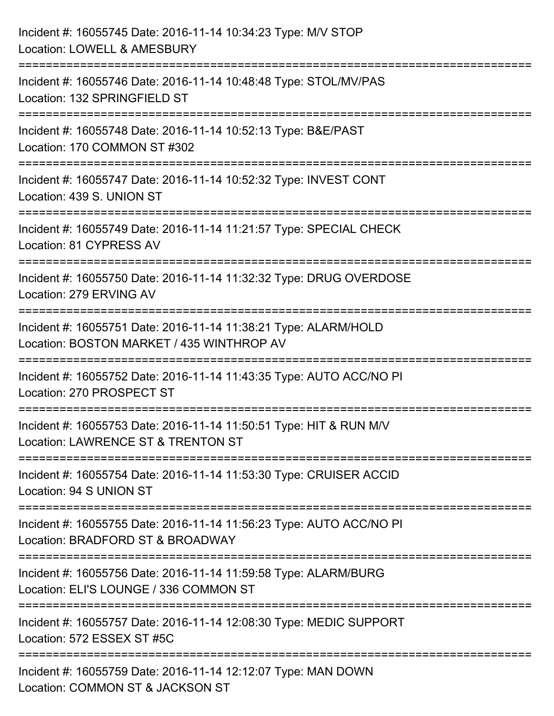| Incident #: 16055745 Date: 2016-11-14 10:34:23 Type: M/V STOP<br>Location: LOWELL & AMESBURY                 |
|--------------------------------------------------------------------------------------------------------------|
| Incident #: 16055746 Date: 2016-11-14 10:48:48 Type: STOL/MV/PAS<br>Location: 132 SPRINGFIELD ST             |
| Incident #: 16055748 Date: 2016-11-14 10:52:13 Type: B&E/PAST<br>Location: 170 COMMON ST #302                |
| Incident #: 16055747 Date: 2016-11-14 10:52:32 Type: INVEST CONT<br>Location: 439 S. UNION ST                |
| Incident #: 16055749 Date: 2016-11-14 11:21:57 Type: SPECIAL CHECK<br>Location: 81 CYPRESS AV                |
| Incident #: 16055750 Date: 2016-11-14 11:32:32 Type: DRUG OVERDOSE<br>Location: 279 ERVING AV                |
| Incident #: 16055751 Date: 2016-11-14 11:38:21 Type: ALARM/HOLD<br>Location: BOSTON MARKET / 435 WINTHROP AV |
| Incident #: 16055752 Date: 2016-11-14 11:43:35 Type: AUTO ACC/NO PI<br>Location: 270 PROSPECT ST             |
| Incident #: 16055753 Date: 2016-11-14 11:50:51 Type: HIT & RUN M/V<br>Location: LAWRENCE ST & TRENTON ST     |
| Incident #: 16055754 Date: 2016-11-14 11:53:30 Type: CRUISER ACCID<br>Location: 94 S UNION ST                |
| Incident #: 16055755 Date: 2016-11-14 11:56:23 Type: AUTO ACC/NO PI<br>Location: BRADFORD ST & BROADWAY      |
| Incident #: 16055756 Date: 2016-11-14 11:59:58 Type: ALARM/BURG<br>Location: ELI'S LOUNGE / 336 COMMON ST    |
| Incident #: 16055757 Date: 2016-11-14 12:08:30 Type: MEDIC SUPPORT<br>Location: 572 ESSEX ST #5C             |
| Incident #: 16055759 Date: 2016-11-14 12:12:07 Type: MAN DOWN<br>Location: COMMON ST & JACKSON ST            |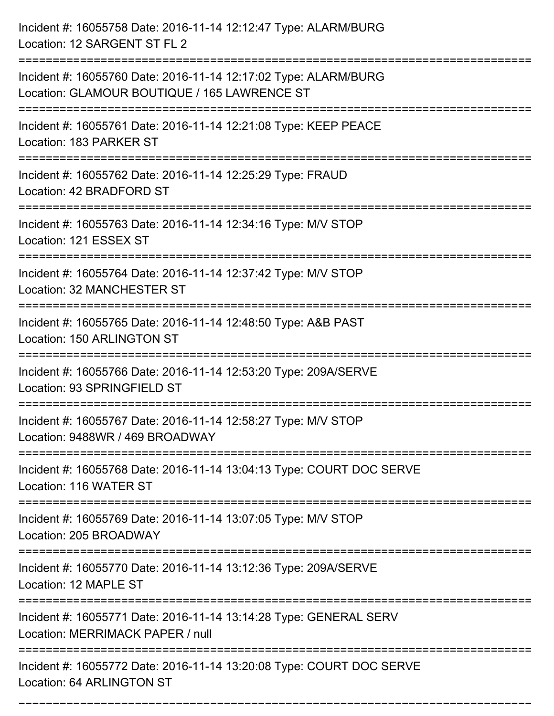| Incident #: 16055758 Date: 2016-11-14 12:12:47 Type: ALARM/BURG<br>Location: 12 SARGENT ST FL 2                                                               |
|---------------------------------------------------------------------------------------------------------------------------------------------------------------|
| Incident #: 16055760 Date: 2016-11-14 12:17:02 Type: ALARM/BURG<br>Location: GLAMOUR BOUTIQUE / 165 LAWRENCE ST                                               |
| Incident #: 16055761 Date: 2016-11-14 12:21:08 Type: KEEP PEACE<br>Location: 183 PARKER ST<br>.-----------------------------------                            |
| Incident #: 16055762 Date: 2016-11-14 12:25:29 Type: FRAUD<br>Location: 42 BRADFORD ST                                                                        |
| Incident #: 16055763 Date: 2016-11-14 12:34:16 Type: M/V STOP<br>Location: 121 ESSEX ST                                                                       |
| Incident #: 16055764 Date: 2016-11-14 12:37:42 Type: M/V STOP<br>Location: 32 MANCHESTER ST                                                                   |
| Incident #: 16055765 Date: 2016-11-14 12:48:50 Type: A&B PAST<br>Location: 150 ARLINGTON ST                                                                   |
| Incident #: 16055766 Date: 2016-11-14 12:53:20 Type: 209A/SERVE<br>Location: 93 SPRINGFIELD ST                                                                |
| Incident #: 16055767 Date: 2016-11-14 12:58:27 Type: M/V STOP<br>Location: 9488WR / 469 BROADWAY                                                              |
| Incident #: 16055768 Date: 2016-11-14 13:04:13 Type: COURT DOC SERVE<br>Location: 116 WATER ST                                                                |
| :=================================<br>----------------------------<br>Incident #: 16055769 Date: 2016-11-14 13:07:05 Type: M/V STOP<br>Location: 205 BROADWAY |
| Incident #: 16055770 Date: 2016-11-14 13:12:36 Type: 209A/SERVE<br>Location: 12 MAPLE ST                                                                      |
| Incident #: 16055771 Date: 2016-11-14 13:14:28 Type: GENERAL SERV<br>Location: MERRIMACK PAPER / null                                                         |
| Incident #: 16055772 Date: 2016-11-14 13:20:08 Type: COURT DOC SERVE<br>Location: 64 ARLINGTON ST                                                             |

===========================================================================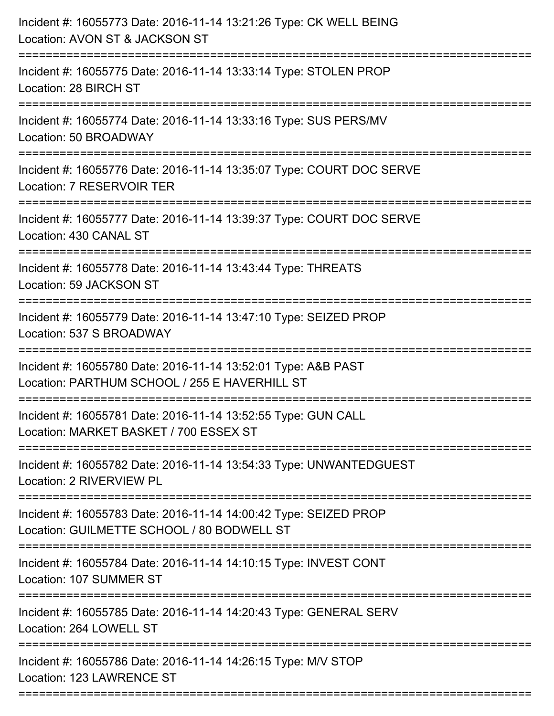| Incident #: 16055773 Date: 2016-11-14 13:21:26 Type: CK WELL BEING<br>Location: AVON ST & JACKSON ST<br>:=====================                                    |
|-------------------------------------------------------------------------------------------------------------------------------------------------------------------|
| Incident #: 16055775 Date: 2016-11-14 13:33:14 Type: STOLEN PROP<br>Location: 28 BIRCH ST                                                                         |
| Incident #: 16055774 Date: 2016-11-14 13:33:16 Type: SUS PERS/MV<br>Location: 50 BROADWAY<br>================                                                     |
| Incident #: 16055776 Date: 2016-11-14 13:35:07 Type: COURT DOC SERVE<br>Location: 7 RESERVOIR TER                                                                 |
| Incident #: 16055777 Date: 2016-11-14 13:39:37 Type: COURT DOC SERVE<br>Location: 430 CANAL ST<br>----------------------------------<br>========================= |
| Incident #: 16055778 Date: 2016-11-14 13:43:44 Type: THREATS<br>Location: 59 JACKSON ST                                                                           |
| Incident #: 16055779 Date: 2016-11-14 13:47:10 Type: SEIZED PROP<br>Location: 537 S BROADWAY<br>==================================                                |
| Incident #: 16055780 Date: 2016-11-14 13:52:01 Type: A&B PAST<br>Location: PARTHUM SCHOOL / 255 E HAVERHILL ST                                                    |
| Incident #: 16055781 Date: 2016-11-14 13:52:55 Type: GUN CALL<br>Location: MARKET BASKET / 700 ESSEX ST                                                           |
| Incident #: 16055782 Date: 2016-11-14 13:54:33 Type: UNWANTEDGUEST<br>Location: 2 RIVERVIEW PL                                                                    |
| Incident #: 16055783 Date: 2016-11-14 14:00:42 Type: SEIZED PROP<br>Location: GUILMETTE SCHOOL / 80 BODWELL ST                                                    |
| Incident #: 16055784 Date: 2016-11-14 14:10:15 Type: INVEST CONT<br>Location: 107 SUMMER ST                                                                       |
| Incident #: 16055785 Date: 2016-11-14 14:20:43 Type: GENERAL SERV<br>Location: 264 LOWELL ST                                                                      |
| Incident #: 16055786 Date: 2016-11-14 14:26:15 Type: M/V STOP<br>Location: 123 LAWRENCE ST                                                                        |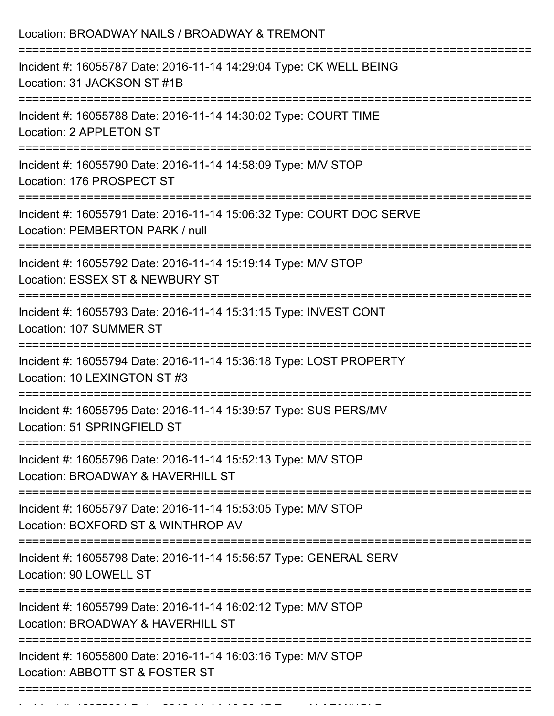| Location: BROADWAY NAILS / BROADWAY & TREMONT                                                                                                                              |
|----------------------------------------------------------------------------------------------------------------------------------------------------------------------------|
| Incident #: 16055787 Date: 2016-11-14 14:29:04 Type: CK WELL BEING<br>Location: 31 JACKSON ST #1B                                                                          |
| Incident #: 16055788 Date: 2016-11-14 14:30:02 Type: COURT TIME<br>Location: 2 APPLETON ST                                                                                 |
| Incident #: 16055790 Date: 2016-11-14 14:58:09 Type: M/V STOP<br>Location: 176 PROSPECT ST                                                                                 |
| Incident #: 16055791 Date: 2016-11-14 15:06:32 Type: COURT DOC SERVE<br>Location: PEMBERTON PARK / null                                                                    |
| Incident #: 16055792 Date: 2016-11-14 15:19:14 Type: M/V STOP<br>Location: ESSEX ST & NEWBURY ST                                                                           |
| Incident #: 16055793 Date: 2016-11-14 15:31:15 Type: INVEST CONT<br>Location: 107 SUMMER ST                                                                                |
| Incident #: 16055794 Date: 2016-11-14 15:36:18 Type: LOST PROPERTY<br>Location: 10 LEXINGTON ST #3                                                                         |
| Incident #: 16055795 Date: 2016-11-14 15:39:57 Type: SUS PERS/MV<br>Location: 51 SPRINGFIELD ST                                                                            |
| -------------------------------------<br>===========================<br>Incident #: 16055796 Date: 2016-11-14 15:52:13 Type: M/V STOP<br>Location: BROADWAY & HAVERHILL ST |
| Incident #: 16055797 Date: 2016-11-14 15:53:05 Type: M/V STOP<br>Location: BOXFORD ST & WINTHROP AV                                                                        |
| Incident #: 16055798 Date: 2016-11-14 15:56:57 Type: GENERAL SERV<br>Location: 90 LOWELL ST                                                                                |
| Incident #: 16055799 Date: 2016-11-14 16:02:12 Type: M/V STOP<br>Location: BROADWAY & HAVERHILL ST                                                                         |
| Incident #: 16055800 Date: 2016-11-14 16:03:16 Type: M/V STOP<br>Location: ABBOTT ST & FOSTER ST                                                                           |

Incident #: 16055801 Date: 2016 11 14 16:20:17 Type: ALARM/HOLD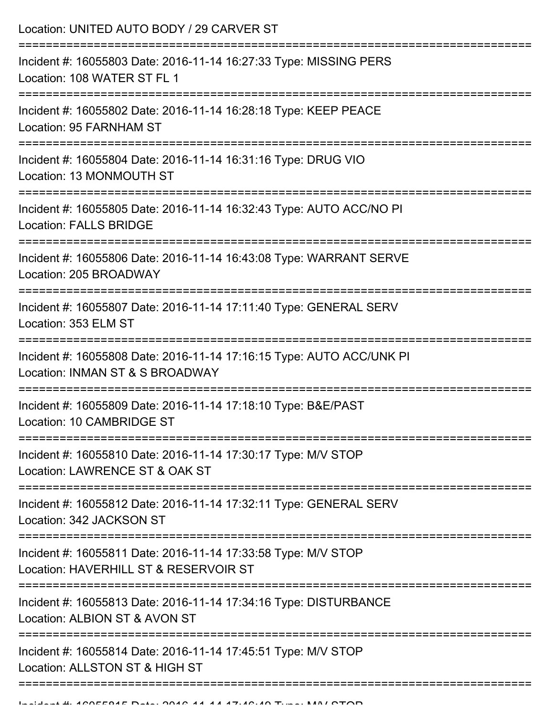| Incident #: 16055803 Date: 2016-11-14 16:27:33 Type: MISSING PERS<br>Location: 108 WATER ST FL 1<br>Incident #: 16055802 Date: 2016-11-14 16:28:18 Type: KEEP PEACE<br>Location: 95 FARNHAM ST<br>Incident #: 16055804 Date: 2016-11-14 16:31:16 Type: DRUG VIO<br>Location: 13 MONMOUTH ST<br>Incident #: 16055805 Date: 2016-11-14 16:32:43 Type: AUTO ACC/NO PI<br><b>Location: FALLS BRIDGE</b><br>Incident #: 16055806 Date: 2016-11-14 16:43:08 Type: WARRANT SERVE<br>Location: 205 BROADWAY<br>Incident #: 16055807 Date: 2016-11-14 17:11:40 Type: GENERAL SERV<br>Location: 353 ELM ST<br>Incident #: 16055808 Date: 2016-11-14 17:16:15 Type: AUTO ACC/UNK PI<br>Location: INMAN ST & S BROADWAY<br>Incident #: 16055809 Date: 2016-11-14 17:18:10 Type: B&E/PAST<br>Location: 10 CAMBRIDGE ST<br>Incident #: 16055810 Date: 2016-11-14 17:30:17 Type: M/V STOP<br>Location: LAWRENCE ST & OAK ST<br>Incident #: 16055812 Date: 2016-11-14 17:32:11 Type: GENERAL SERV<br>Location: 342 JACKSON ST<br>Incident #: 16055811 Date: 2016-11-14 17:33:58 Type: M/V STOP<br>Location: HAVERHILL ST & RESERVOIR ST<br>Incident #: 16055813 Date: 2016-11-14 17:34:16 Type: DISTURBANCE<br>Location: ALBION ST & AVON ST<br>Incident #: 16055814 Date: 2016-11-14 17:45:51 Type: M/V STOP<br>Location: ALLSTON ST & HIGH ST | Location: UNITED AUTO BODY / 29 CARVER ST |
|---------------------------------------------------------------------------------------------------------------------------------------------------------------------------------------------------------------------------------------------------------------------------------------------------------------------------------------------------------------------------------------------------------------------------------------------------------------------------------------------------------------------------------------------------------------------------------------------------------------------------------------------------------------------------------------------------------------------------------------------------------------------------------------------------------------------------------------------------------------------------------------------------------------------------------------------------------------------------------------------------------------------------------------------------------------------------------------------------------------------------------------------------------------------------------------------------------------------------------------------------------------------------------------------------------------------------------|-------------------------------------------|
|                                                                                                                                                                                                                                                                                                                                                                                                                                                                                                                                                                                                                                                                                                                                                                                                                                                                                                                                                                                                                                                                                                                                                                                                                                                                                                                                 |                                           |
|                                                                                                                                                                                                                                                                                                                                                                                                                                                                                                                                                                                                                                                                                                                                                                                                                                                                                                                                                                                                                                                                                                                                                                                                                                                                                                                                 |                                           |
|                                                                                                                                                                                                                                                                                                                                                                                                                                                                                                                                                                                                                                                                                                                                                                                                                                                                                                                                                                                                                                                                                                                                                                                                                                                                                                                                 |                                           |
|                                                                                                                                                                                                                                                                                                                                                                                                                                                                                                                                                                                                                                                                                                                                                                                                                                                                                                                                                                                                                                                                                                                                                                                                                                                                                                                                 |                                           |
|                                                                                                                                                                                                                                                                                                                                                                                                                                                                                                                                                                                                                                                                                                                                                                                                                                                                                                                                                                                                                                                                                                                                                                                                                                                                                                                                 |                                           |
|                                                                                                                                                                                                                                                                                                                                                                                                                                                                                                                                                                                                                                                                                                                                                                                                                                                                                                                                                                                                                                                                                                                                                                                                                                                                                                                                 |                                           |
|                                                                                                                                                                                                                                                                                                                                                                                                                                                                                                                                                                                                                                                                                                                                                                                                                                                                                                                                                                                                                                                                                                                                                                                                                                                                                                                                 |                                           |
|                                                                                                                                                                                                                                                                                                                                                                                                                                                                                                                                                                                                                                                                                                                                                                                                                                                                                                                                                                                                                                                                                                                                                                                                                                                                                                                                 |                                           |
|                                                                                                                                                                                                                                                                                                                                                                                                                                                                                                                                                                                                                                                                                                                                                                                                                                                                                                                                                                                                                                                                                                                                                                                                                                                                                                                                 |                                           |
|                                                                                                                                                                                                                                                                                                                                                                                                                                                                                                                                                                                                                                                                                                                                                                                                                                                                                                                                                                                                                                                                                                                                                                                                                                                                                                                                 |                                           |
|                                                                                                                                                                                                                                                                                                                                                                                                                                                                                                                                                                                                                                                                                                                                                                                                                                                                                                                                                                                                                                                                                                                                                                                                                                                                                                                                 |                                           |
|                                                                                                                                                                                                                                                                                                                                                                                                                                                                                                                                                                                                                                                                                                                                                                                                                                                                                                                                                                                                                                                                                                                                                                                                                                                                                                                                 |                                           |
|                                                                                                                                                                                                                                                                                                                                                                                                                                                                                                                                                                                                                                                                                                                                                                                                                                                                                                                                                                                                                                                                                                                                                                                                                                                                                                                                 |                                           |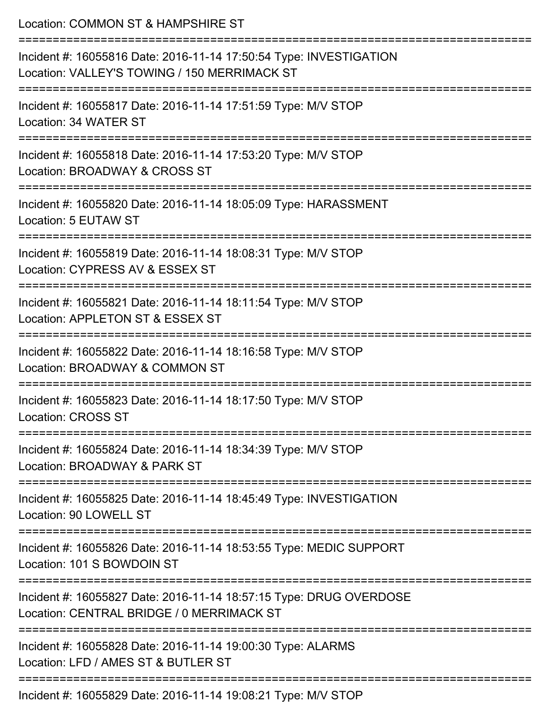| Location: COMMON ST & HAMPSHIRE ST<br>====================<br>-------------------------------                                                                                        |
|--------------------------------------------------------------------------------------------------------------------------------------------------------------------------------------|
| Incident #: 16055816 Date: 2016-11-14 17:50:54 Type: INVESTIGATION<br>Location: VALLEY'S TOWING / 150 MERRIMACK ST<br>:=======================<br>:================================= |
| Incident #: 16055817 Date: 2016-11-14 17:51:59 Type: M/V STOP<br>Location: 34 WATER ST                                                                                               |
| Incident #: 16055818 Date: 2016-11-14 17:53:20 Type: M/V STOP<br>Location: BROADWAY & CROSS ST                                                                                       |
| Incident #: 16055820 Date: 2016-11-14 18:05:09 Type: HARASSMENT<br>Location: 5 EUTAW ST                                                                                              |
| Incident #: 16055819 Date: 2016-11-14 18:08:31 Type: M/V STOP<br>Location: CYPRESS AV & ESSEX ST                                                                                     |
| :===================<br>Incident #: 16055821 Date: 2016-11-14 18:11:54 Type: M/V STOP<br>Location: APPLETON ST & ESSEX ST                                                            |
| Incident #: 16055822 Date: 2016-11-14 18:16:58 Type: M/V STOP<br>Location: BROADWAY & COMMON ST                                                                                      |
| Incident #: 16055823 Date: 2016-11-14 18:17:50 Type: M/V STOP<br><b>Location: CROSS ST</b>                                                                                           |
| Incident #: 16055824 Date: 2016-11-14 18:34:39 Type: M/V STOP<br>Location: BROADWAY & PARK ST                                                                                        |
| Incident #: 16055825 Date: 2016-11-14 18:45:49 Type: INVESTIGATION<br>Location: 90 LOWELL ST                                                                                         |
| Incident #: 16055826 Date: 2016-11-14 18:53:55 Type: MEDIC SUPPORT<br>Location: 101 S BOWDOIN ST                                                                                     |
| Incident #: 16055827 Date: 2016-11-14 18:57:15 Type: DRUG OVERDOSE<br>Location: CENTRAL BRIDGE / 0 MERRIMACK ST                                                                      |
| Incident #: 16055828 Date: 2016-11-14 19:00:30 Type: ALARMS<br>Location: LFD / AMES ST & BUTLER ST                                                                                   |
| Incident #: 16055829 Date: 2016-11-14 19:08:21 Type: M/V STOP                                                                                                                        |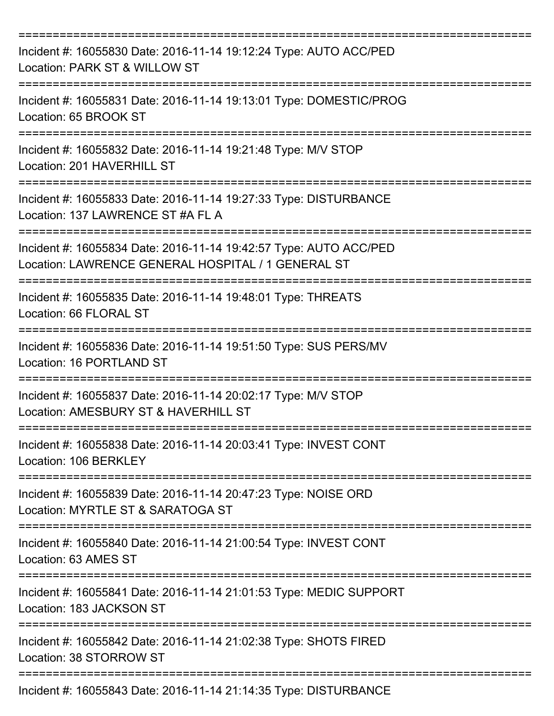| Incident #: 16055830 Date: 2016-11-14 19:12:24 Type: AUTO ACC/PED<br>Location: PARK ST & WILLOW ST                      |
|-------------------------------------------------------------------------------------------------------------------------|
| Incident #: 16055831 Date: 2016-11-14 19:13:01 Type: DOMESTIC/PROG<br>Location: 65 BROOK ST                             |
| Incident #: 16055832 Date: 2016-11-14 19:21:48 Type: M/V STOP<br>Location: 201 HAVERHILL ST                             |
| Incident #: 16055833 Date: 2016-11-14 19:27:33 Type: DISTURBANCE<br>Location: 137 LAWRENCE ST #A FL A                   |
| Incident #: 16055834 Date: 2016-11-14 19:42:57 Type: AUTO ACC/PED<br>Location: LAWRENCE GENERAL HOSPITAL / 1 GENERAL ST |
| Incident #: 16055835 Date: 2016-11-14 19:48:01 Type: THREATS<br>Location: 66 FLORAL ST                                  |
| Incident #: 16055836 Date: 2016-11-14 19:51:50 Type: SUS PERS/MV<br>Location: 16 PORTLAND ST<br>===========             |
| Incident #: 16055837 Date: 2016-11-14 20:02:17 Type: M/V STOP<br>Location: AMESBURY ST & HAVERHILL ST                   |
| Incident #: 16055838 Date: 2016-11-14 20:03:41 Type: INVEST CONT<br>Location: 106 BERKLEY                               |
| Incident #: 16055839 Date: 2016-11-14 20:47:23 Type: NOISE ORD<br>Location: MYRTLE ST & SARATOGA ST                     |
| Incident #: 16055840 Date: 2016-11-14 21:00:54 Type: INVEST CONT<br>Location: 63 AMES ST                                |
| Incident #: 16055841 Date: 2016-11-14 21:01:53 Type: MEDIC SUPPORT<br>Location: 183 JACKSON ST                          |
| Incident #: 16055842 Date: 2016-11-14 21:02:38 Type: SHOTS FIRED<br>Location: 38 STORROW ST                             |
| Incident #: 16055843 Date: 2016-11-14 21:14:35 Type: DISTURBANCE                                                        |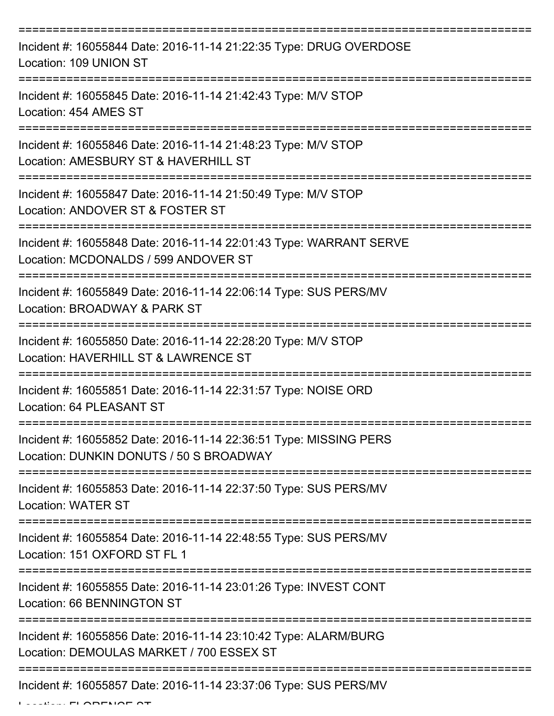| Incident #: 16055844 Date: 2016-11-14 21:22:35 Type: DRUG OVERDOSE<br>Location: 109 UNION ST                 |
|--------------------------------------------------------------------------------------------------------------|
| Incident #: 16055845 Date: 2016-11-14 21:42:43 Type: M/V STOP<br>Location: 454 AMES ST                       |
| Incident #: 16055846 Date: 2016-11-14 21:48:23 Type: M/V STOP<br>Location: AMESBURY ST & HAVERHILL ST        |
| Incident #: 16055847 Date: 2016-11-14 21:50:49 Type: M/V STOP<br>Location: ANDOVER ST & FOSTER ST            |
| Incident #: 16055848 Date: 2016-11-14 22:01:43 Type: WARRANT SERVE<br>Location: MCDONALDS / 599 ANDOVER ST   |
| Incident #: 16055849 Date: 2016-11-14 22:06:14 Type: SUS PERS/MV<br>Location: BROADWAY & PARK ST             |
| Incident #: 16055850 Date: 2016-11-14 22:28:20 Type: M/V STOP<br>Location: HAVERHILL ST & LAWRENCE ST        |
| Incident #: 16055851 Date: 2016-11-14 22:31:57 Type: NOISE ORD<br>Location: 64 PLEASANT ST                   |
| Incident #: 16055852 Date: 2016-11-14 22:36:51 Type: MISSING PERS<br>Location: DUNKIN DONUTS / 50 S BROADWAY |
| Incident #: 16055853 Date: 2016-11-14 22:37:50 Type: SUS PERS/MV<br><b>Location: WATER ST</b>                |
| Incident #: 16055854 Date: 2016-11-14 22:48:55 Type: SUS PERS/MV<br>Location: 151 OXFORD ST FL 1             |
| Incident #: 16055855 Date: 2016-11-14 23:01:26 Type: INVEST CONT<br><b>Location: 66 BENNINGTON ST</b>        |
| Incident #: 16055856 Date: 2016-11-14 23:10:42 Type: ALARM/BURG<br>Location: DEMOULAS MARKET / 700 ESSEX ST  |
| Incident #: 16055857 Date: 2016-11-14 23:37:06 Type: SUS PERS/MV                                             |

 $L$ .... $F$ I $\wedge$ meri $\wedge$ meri $\wedge$ meri $\wedge$ meri $\wedge$ meri $\wedge$ meri $\wedge$ meri $\wedge$ meri $\wedge$ meri $\wedge$ meri $\wedge$ meri $\wedge$ meri $\wedge$ meri $\wedge$ meri $\wedge$ meri $\wedge$ meri $\wedge$ meri $\wedge$ meri $\wedge$ meri $\wedge$ meri $\wedge$ meri $\wedge$ meri $\wedge$ meri $\w$